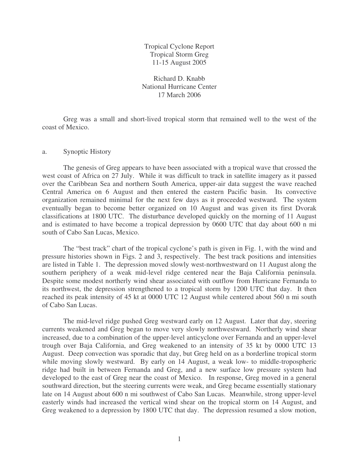Tropical Cyclone Report Tropical Storm Greg 11-15 August 2005

Richard D. Knabb National Hurricane Center 17 March 2006

Greg was a small and short-lived tropical storm that remained well to the west of the coast of Mexico.

## a. Synoptic History

The genesis of Greg appears to have been associated with a tropical wave that crossed the west coast of Africa on 27 July. While it was difficult to track in satellite imagery as it passed over the Caribbean Sea and northern South America, upper-air data suggest the wave reached Central America on 6 August and then entered the eastern Pacific basin. Its convective organization remained minimal for the next few days as it proceeded westward. The system eventually began to become better organized on 10 August and was given its first Dvorak classifications at 1800 UTC. The disturbance developed quickly on the morning of 11 August and is estimated to have become a tropical depression by 0600 UTC that day about 600 n mi south of Cabo San Lucas, Mexico.

The "best track" chart of the tropical cyclone's path is given in Fig. 1, with the wind and pressure histories shown in Figs. 2 and 3, respectively. The best track positions and intensities are listed in Table 1. The depression moved slowly west-northwestward on 11 August along the southern periphery of a weak mid-level ridge centered near the Baja California peninsula. Despite some modest northerly wind shear associated with outflow from Hurricane Fernanda to its northwest, the depression strengthened to a tropical storm by 1200 UTC that day. It then reached its peak intensity of 45 kt at 0000 UTC 12 August while centered about 560 n mi south of Cabo San Lucas.

The mid-level ridge pushed Greg westward early on 12 August. Later that day, steering currents weakened and Greg began to move very slowly northwestward. Northerly wind shear increased, due to a combination of the upper-level anticyclone over Fernanda and an upper-level trough over Baja California, and Greg weakened to an intensity of 35 kt by 0000 UTC 13 August. Deep convection was sporadic that day, but Greg held on as a borderline tropical storm while moving slowly westward. By early on 14 August, a weak low- to middle-tropospheric ridge had built in between Fernanda and Greg, and a new surface low pressure system had developed to the east of Greg near the coast of Mexico. In response, Greg moved in a general southward direction, but the steering currents were weak, and Greg became essentially stationary late on 14 August about 600 n mi southwest of Cabo San Lucas. Meanwhile, strong upper-level easterly winds had increased the vertical wind shear on the tropical storm on 14 August, and Greg weakened to a depression by 1800 UTC that day. The depression resumed a slow motion,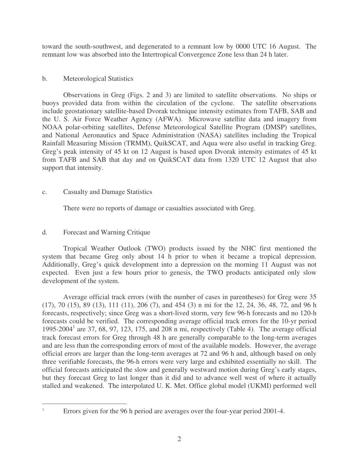toward the south-southwest, and degenerated to a remnant low by 0000 UTC 16 August. The remnant low was absorbed into the Intertropical Convergence Zone less than 24 h later.

## b. Meteorological Statistics

Observations in Greg (Figs. 2 and 3) are limited to satellite observations. No ships or buoys provided data from within the circulation of the cyclone. The satellite observations include geostationary satellite-based Dvorak technique intensity estimates from TAFB, SAB and the U. S. Air Force Weather Agency (AFWA). Microwave satellite data and imagery from NOAA polar-orbiting satellites, Defense Meteorological Satellite Program (DMSP) satellites, and National Aeronautics and Space Administration (NASA) satellites including the Tropical Rainfall Measuring Mission (TRMM), QuikSCAT, and Aqua were also useful in tracking Greg. Greg's peak intensity of 45 kt on 12 August is based upon Dvorak intensity estimates of 45 kt from TAFB and SAB that day and on QuikSCAT data from 1320 UTC 12 August that also support that intensity.

## c. Casualty and Damage Statistics

There were no reports of damage or casualties associated with Greg.

## d. Forecast and Warning Critique

Tropical Weather Outlook (TWO) products issued by the NHC first mentioned the system that became Greg only about 14 h prior to when it became a tropical depression. Additionally, Greg's quick development into a depression on the morning 11 August was not expected. Even just a few hours prior to genesis, the TWO products anticipated only slow development of the system.

Average official track errors (with the number of cases in parentheses) for Greg were 35 (17), 70 (15), 89 (13), 111 (11), 206 (7), and 454 (3) n mi for the 12, 24, 36, 48, 72, and 96 h forecasts, respectively; since Greg was a short-lived storm, very few 96-h forecasts and no 120-h forecasts could be verified. The corresponding average official track errors for the 10-yr period 1995-2004 1 are 37, 68, 97, 123, 175, and 208 n mi, respectively (Table 4). The average official track forecast errors for Greg through 48 h are generally comparable to the long-term averages and are less than the corresponding errors of most of the available models. However, the average official errors are larger than the long-term averages at 72 and 96 h and, although based on only three verifiable forecasts, the 96-h errors were very large and exhibited essentially no skill. The official forecasts anticipated the slow and generally westward motion during Greg's early stages, but they forecast Greg to last longer than it did and to advance well west of where it actually stalled and weakened. The interpolated U. K. Met. Office global model (UKMI) performed well

Errors given for the 96 h period are averages over the four-year period 2001-4.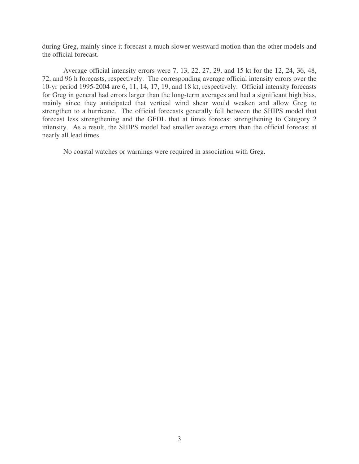during Greg, mainly since it forecast a much slower westward motion than the other models and the official forecast.

Average official intensity errors were 7, 13, 22, 27, 29, and 15 kt for the 12, 24, 36, 48, 72, and 96 h forecasts, respectively. The corresponding average official intensity errors over the 10-yr period 1995-2004 are 6, 11, 14, 17, 19, and 18 kt, respectively. Official intensity forecasts for Greg in general had errors larger than the long-term averages and had a significant high bias, mainly since they anticipated that vertical wind shear would weaken and allow Greg to strengthen to a hurricane. The official forecasts generally fell between the SHIPS model that forecast less strengthening and the GFDL that at times forecast strengthening to Category 2 intensity. As a result, the SHIPS model had smaller average errors than the official forecast at nearly all lead times.

No coastal watches or warnings were required in association with Greg.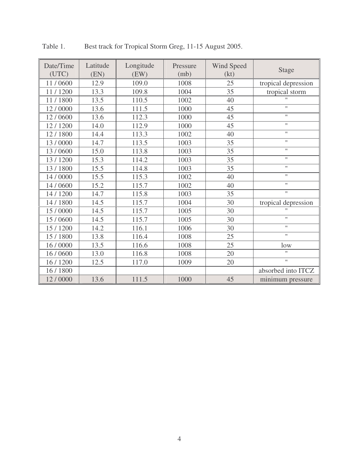| Date/Time<br>(UTC) | Latitude<br>(EN) | Longitude<br>(EW) | Pressure<br>(mb) | Wind Speed<br>(kt) | <b>Stage</b>        |  |
|--------------------|------------------|-------------------|------------------|--------------------|---------------------|--|
| 11/0600            | 12.9             | 109.0             | 1008             | 25                 | tropical depression |  |
| 11/1200            | 13.3             | 109.8             | 1004             | 35                 | tropical storm      |  |
| 11/1800            | 13.5             | 110.5             | 1002             | 40                 | $\mathbf{H}$        |  |
| 12/0000            | 13.6             | 111.5             | 1000             | 45                 | $\mathbf{H}$        |  |
| 12/0600            | 13.6             | 112.3             | 1000             | 45                 | $\mathbf{H}$        |  |
| 12/1200            | 14.0             | 112.9             | 1000             | 45                 | Ħ                   |  |
| 12/1800            | 14.4             | 113.3             | 1002             | 40                 | $\mathbf{H}$        |  |
| 13/0000            | 14.7             | 113.5             | 1003             | 35                 | $\mathbf{H}$        |  |
| 13/0600            | 15.0             | 113.8             | 1003             | 35                 | Ħ                   |  |
| 13/1200            | 15.3             | 114.2             | 1003             | 35                 | $\mathbf{H}$        |  |
| 13/1800            | 15.5             | 114.8             | 1003             | 35                 | $\mathbf{H}$        |  |
| 14 / 0000          | 15.5             | 115.3             | 1002             | 40                 | $\mathbf{H}$        |  |
| 14 / 0600          | 15.2             | 115.7             | 1002             | 40                 | Ħ                   |  |
| 14 / 1200          | 14.7             | 115.8             | 1003             | 35                 | $\mathbf{H}$        |  |
| 14 / 1800          | 14.5             | 115.7             | 1004             | 30                 | tropical depression |  |
| 15 / 0000          | 14.5             | 115.7             | 1005             | 30                 | $\mathbf{H}$        |  |
| 15 / 0600          | 14.5             | 115.7             | 1005             | 30                 | $\mathbf{H}$        |  |
| 15 / 1200          | 14.2             | 116.1             | 1006             | 30                 | Ħ                   |  |
| 15 / 1800          | 13.8             | 116.4             | 1008             | 25                 | Ħ                   |  |
| 16 / 0000          | 13.5             | 116.6             | 1008             | 25                 | low                 |  |
| 16 / 0600          | 13.0             | 116.8             | 1008             | 20                 | $\pmb{\mathsf{H}}$  |  |
| 16 / 1200          | 12.5             | 117.0             | 1009             | 20                 | $\mathbf{H}$        |  |
| 16 / 1800          |                  |                   |                  |                    | absorbed into ITCZ  |  |
| 12/0000            | 13.6             | 111.5             | 1000             | 45                 | minimum pressure    |  |

Table 1. Best track for Tropical Storm Greg, 11-15 August 2005.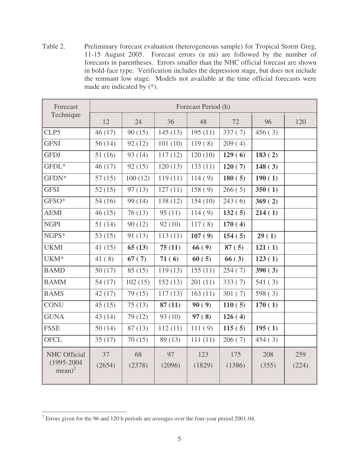Table 2. Preliminary forecast evaluation (heterogeneous sample) for Tropical Storm Greg, 11-15 August 2005. Forecast errors (n mi) are followed by the number of forecasts in parentheses. Errors smaller than the NHC official forecast are shown in bold-face type. Verification includes the depression stage, but does not include the remnant low stage. Models not available at the time official forecasts were made are indicated by (\*).

| Forecast                                           | Forecast Period (h) |              |              |               |               |              |              |  |  |
|----------------------------------------------------|---------------------|--------------|--------------|---------------|---------------|--------------|--------------|--|--|
| Technique                                          | 12                  | 24           | 36           | 48            | 72            | 96           | 120          |  |  |
| CLP5                                               | 46 (17)             | 90(15)       | 145(13)      | 195(11)       | 337(7)        | 456(3)       |              |  |  |
| <b>GFNI</b>                                        | 56(14)              | 92(12)       | 101(10)      | 119(8)        | 209(4)        |              |              |  |  |
| <b>GFDI</b>                                        | 51(16)              | 93(14)       | 117(12)      | 120(10)       | 129(6)        | 183(2)       |              |  |  |
| GFDL*                                              | 46(17)              | 92(15)       | 120(13)      | 133(11)       | 120(7)        | 148(3)       |              |  |  |
| GFDN*                                              | 57(15)              | 100(12)      | 119(11)      | 114(9)        | 180(5)        | 190(1)       |              |  |  |
| <b>GFSI</b>                                        | 52(15)              | 97(13)       | 127(11)      | 158(9)        | 266(5)        | 350(1)       |              |  |  |
| GFSO*                                              | 54(16)              | 99(14)       | 138(12)      | 154(10)       | 243(6)        | 369(2)       |              |  |  |
| <b>AEMI</b>                                        | 46(15)              | 76(13)       | 95(11)       | 114(9)        | 132(5)        | 214(1)       |              |  |  |
| <b>NGPI</b>                                        | 51(14)              | 90(12)       | 92(10)       | 117(8)        | 170(4)        |              |              |  |  |
| NGPS*                                              | 53 $(15)$           | 91(13)       | 113(11)      | 107(9)        | 154(5)        | 29(1)        |              |  |  |
| <b>UKMI</b>                                        | 41(15)              | 65(13)       | 75(11)       | 66(9)         | 87(5)         | 121(1)       |              |  |  |
| UKM <sup>*</sup>                                   | 41(8)               | 67(7)        | 71(6)        | 60(5)         | 66(3)         | 123(1)       |              |  |  |
| <b>BAMD</b>                                        | 50(17)              | 85(15)       | 119(13)      | 155(11)       | 254(7)        | 390(3)       |              |  |  |
| <b>BAMM</b>                                        | 54(17)              | 102(15)      | 152(13)      | 201(11)       | 333(7)        | 541(3)       |              |  |  |
| <b>BAMS</b>                                        | 42(17)              | 79(15)       | 117(13)      | 163(11)       | 301(7)        | 598(3)       |              |  |  |
| <b>CONU</b>                                        | 45(15)              | 75(13)       | 87(11)       | 90(9)         | 110(5)        | 170(1)       |              |  |  |
| <b>GUNA</b>                                        | 43 (14)             | 79 (12)      | 93(10)       | 97(8)         | 126(4)        |              |              |  |  |
| <b>FSSE</b>                                        | 50(14)              | 87(13)       | 112(11)      | 111(9)        | 115(5)        | 195(1)       |              |  |  |
| <b>OFCL</b>                                        | 35(17)              | 70(15)       | 89 (13)      | 111(11)       | 206(7)        | 454(3)       |              |  |  |
| <b>NHC Official</b><br>$(1995 - 2004$<br>$mean)^2$ | 37<br>(2654)        | 68<br>(2378) | 97<br>(2096) | 123<br>(1829) | 175<br>(1386) | 208<br>(355) | 259<br>(224) |  |  |

<sup>&</sup>lt;sup>2</sup> Errors given for the 96 and 120 h periods are averages over the four-year period 2001-04.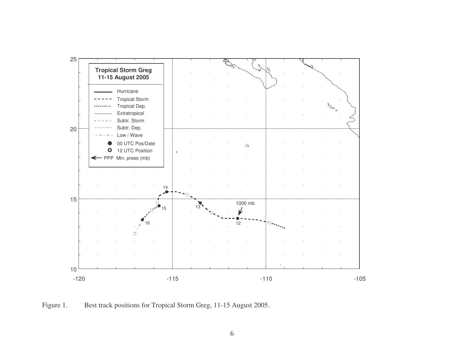

Figure 1. Best track positions for Tropical Storm Greg, 11-15 August 2005.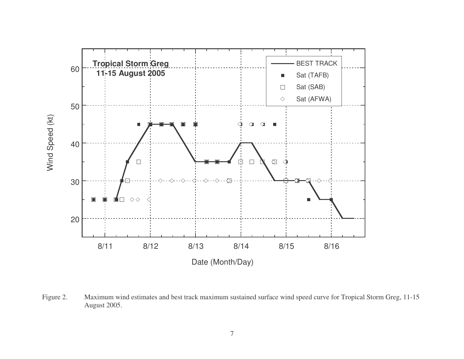

Figure 2. Maximum wind estimates and best track maximum sustained surface wind speed curve for Tropical Storm Greg, 11-15 August 2005.